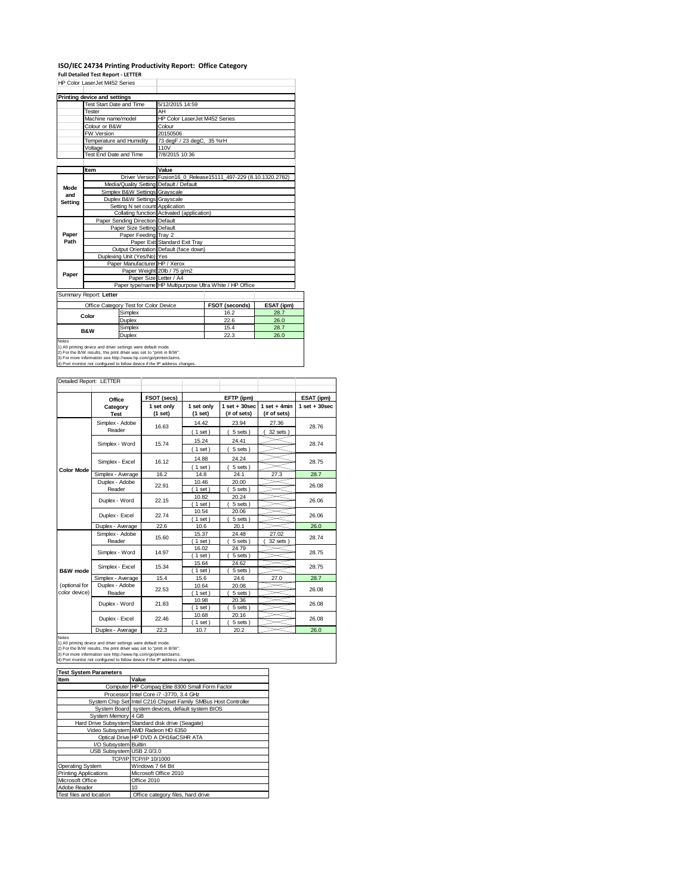## **ISO/IEC 24734 Printing Productivity Report: Office Category**

**Full Detailed Test Report ‐ LETTER** HP Color LaserJet M452 Series

|                                                         | IIF CUNI LASCIJELIVITJA JEIIES          |                                            |                                                                 |            |
|---------------------------------------------------------|-----------------------------------------|--------------------------------------------|-----------------------------------------------------------------|------------|
|                                                         | Printing device and settings            |                                            |                                                                 |            |
|                                                         | Test Start Date and Time                | 5/12/2015 14:59                            |                                                                 |            |
|                                                         | Tester                                  | AH                                         |                                                                 |            |
|                                                         | Machine name/model                      | HP Color LaserJet M452 Series              |                                                                 |            |
|                                                         | Colour or B&W                           | Colour                                     |                                                                 |            |
|                                                         | FW Version                              | 20150506                                   |                                                                 |            |
|                                                         | Temperature and Humidity                | 73 degF / 23 degC, 35 %rH                  |                                                                 |            |
|                                                         | Voltage                                 | 110V                                       |                                                                 |            |
|                                                         | Test End Date and Time                  | 7/8/2015 10:36                             |                                                                 |            |
|                                                         |                                         |                                            |                                                                 |            |
|                                                         | Item                                    | Value                                      |                                                                 |            |
|                                                         |                                         |                                            | Driver Version Fusion16 0 Release15111 497-229 (8.10.1320.2782) |            |
| Mode                                                    | Media/Quality Setting Default / Default |                                            |                                                                 |            |
| and                                                     | Simplex B&W Settings Gravscale          |                                            |                                                                 |            |
| Setting                                                 | Duplex B&W Settings Grayscale           |                                            |                                                                 |            |
|                                                         | Setting N set count Application         |                                            |                                                                 |            |
|                                                         |                                         | Collating function Activated (application) |                                                                 |            |
|                                                         | Paper Sending Direction Default         |                                            |                                                                 |            |
|                                                         | Paper Size Setting Default              |                                            |                                                                 |            |
| Paper                                                   | Paper Feeding Tray 2                    |                                            |                                                                 |            |
| Path                                                    |                                         | Paper Exit Standard Exit Tray              |                                                                 |            |
|                                                         |                                         | Output Orientation Default (face down)     |                                                                 |            |
|                                                         | Duplexing Unit (Yes/No) Yes             |                                            |                                                                 |            |
|                                                         | Paper Manufacturer HP / Xerox           |                                            |                                                                 |            |
| Paper                                                   |                                         | Paper Weight 20lb / 75 g/m2                |                                                                 |            |
|                                                         |                                         | Paper Size Letter / A4                     |                                                                 |            |
| Paper type/name HP Multipurpose Ultra White / HP Office |                                         |                                            |                                                                 |            |
|                                                         | Summary Report: Letter                  |                                            |                                                                 |            |
|                                                         | Office Category Test for Color Device   |                                            | <b>FSOT (seconds)</b>                                           | ESAT (ipm) |
|                                                         | Cimpley                                 |                                            | 10.2                                                            | 207        |

| Summary Report: Letter                                                 |                                       |                       |            |  |  |
|------------------------------------------------------------------------|---------------------------------------|-----------------------|------------|--|--|
|                                                                        | Office Category Test for Color Device | <b>FSOT (seconds)</b> | ESAT (ipm) |  |  |
| Color                                                                  | Simplex                               | 16.2                  | 28.7       |  |  |
|                                                                        | Duplex                                | 22.6                  | 26.0       |  |  |
| <b>B&amp;W</b>                                                         | Simplex                               | 15.4                  | 28.7       |  |  |
|                                                                        | Duplex                                | 22.3                  | 26.0       |  |  |
| Notes<br>1) All printing device and driver settings were default mode. |                                       |                       |            |  |  |

1) All printing device and driver settings were default mode.<br>2) For the B/W results, the print driver was set to "print in B/W".<br>3) For more information see http://www.hp.com/go/printerclaims.<br>4) Port monitor not configur

|                     | Office                                                                                                                                                                                                                                                                                | FSOT (secs)           |                       | EFTP (ipm)                       |                               |                                 |  |
|---------------------|---------------------------------------------------------------------------------------------------------------------------------------------------------------------------------------------------------------------------------------------------------------------------------------|-----------------------|-----------------------|----------------------------------|-------------------------------|---------------------------------|--|
|                     | Category<br><b>Test</b>                                                                                                                                                                                                                                                               | 1 set only<br>(1 set) | 1 set only<br>(1 set) | $1$ set $+30$ sec<br>(# of sets) | $1$ set + 4min<br>(# of sets) | ESAT (ipm)<br>$1$ set $+30$ sec |  |
|                     | Simplex - Adobe                                                                                                                                                                                                                                                                       | 16.63                 | 14.42                 | 23.94                            | 27.36                         | 28.76                           |  |
|                     | Reader                                                                                                                                                                                                                                                                                |                       | (1 set)               | 5 sets)                          | 32 sets                       |                                 |  |
|                     | Simplex - Word                                                                                                                                                                                                                                                                        | 15.74                 | 15.24                 | 24.41                            |                               | 28.74                           |  |
|                     |                                                                                                                                                                                                                                                                                       |                       | (1 set)               | 5 sets)                          |                               |                                 |  |
|                     | Simplex - Excel                                                                                                                                                                                                                                                                       | 16.12                 | 14.88                 | 24.24                            |                               | 28.75                           |  |
| <b>Color Mode</b>   |                                                                                                                                                                                                                                                                                       |                       | $(1$ set)             | 5 sets)                          |                               |                                 |  |
|                     | Simplex - Average                                                                                                                                                                                                                                                                     | 16.2                  | 14.8                  | 24.1                             | 27.3                          | 28.7                            |  |
|                     | Duplex - Adobe                                                                                                                                                                                                                                                                        | 22.91                 | 10.46                 | 20.00                            |                               | 26.08                           |  |
|                     | Reader                                                                                                                                                                                                                                                                                |                       | $1$ set)              | 5 sets)                          |                               |                                 |  |
|                     | Duplex - Word                                                                                                                                                                                                                                                                         | 22.15                 | 10.82                 | 20.24                            |                               | 26.06                           |  |
|                     |                                                                                                                                                                                                                                                                                       |                       | (1 set)               | 5 sets)                          |                               |                                 |  |
|                     | Duplex - Excel                                                                                                                                                                                                                                                                        | 22.74                 | 10.54                 | 20.06                            |                               | 26.06                           |  |
|                     |                                                                                                                                                                                                                                                                                       |                       | $1$ set)              | 5 sets)                          |                               |                                 |  |
|                     | Duplex - Average                                                                                                                                                                                                                                                                      | 22.6                  | 10.6                  | 20.1                             |                               | 26.0                            |  |
|                     | Simplex - Adobe                                                                                                                                                                                                                                                                       | 15.60                 | 15.37                 | 24.48                            | 27.02                         | 28.74                           |  |
|                     | Reader                                                                                                                                                                                                                                                                                |                       | $1$ set)              | 5 sets)                          | 32 sets                       |                                 |  |
|                     | Simplex - Word                                                                                                                                                                                                                                                                        | 14.97                 | 16.02                 | 24.79                            |                               | 28.75                           |  |
|                     |                                                                                                                                                                                                                                                                                       |                       | 1 set<br>15.64        | 5 sets)<br>24.62                 |                               |                                 |  |
| <b>B&amp;W</b> mode | Simplex - Excel                                                                                                                                                                                                                                                                       | 15.34                 | 1 set                 | 5 sets                           |                               | 28.75                           |  |
|                     |                                                                                                                                                                                                                                                                                       | 15.4                  | 15.6                  | 24.6                             | 27.0                          | 28.7                            |  |
| (optional for       | Simplex - Average<br>Duplex - Adobe                                                                                                                                                                                                                                                   |                       | 10.64                 | 20.08                            |                               |                                 |  |
| color device)       | Reader                                                                                                                                                                                                                                                                                | 22.53                 | (1 set)               | 5 sets)                          |                               | 26.08                           |  |
|                     |                                                                                                                                                                                                                                                                                       |                       | 10.98                 | 20.36                            |                               |                                 |  |
|                     | Duplex - Word                                                                                                                                                                                                                                                                         | 21.83                 | $1$ set)              | 5 sets)                          |                               | 26.08                           |  |
|                     |                                                                                                                                                                                                                                                                                       |                       | 10.68                 | 20.16                            |                               |                                 |  |
|                     | Duplex - Excel                                                                                                                                                                                                                                                                        | 22.46                 | 1 set                 | 5 sets)                          |                               | 26.08                           |  |
|                     | Duplex - Average                                                                                                                                                                                                                                                                      | 22.3                  | 10.7                  | 20.2                             |                               | 26.0                            |  |
| <b>Notes</b>        | 1) All printing device and driver settings were default mode.<br>2) For the B/W results, the print driver was set to "print in B/W".<br>3) For more information see http://www.hp.com/go/printerclaims.<br>4) Port monitor not configured to follow device if the IP address changes. |                       |                       |                                  |                               |                                 |  |

| <b>Test System Parameters</b> |                                                                 |  |  |  |
|-------------------------------|-----------------------------------------------------------------|--|--|--|
| Item                          | Value                                                           |  |  |  |
|                               | Computer HP Compag Elite 8300 Small Form Factor                 |  |  |  |
|                               | Processor Intel Core i7 -3770, 3.4 GHz                          |  |  |  |
|                               | System Chip Set Intel C216 Chipset Family SMBus Host Controller |  |  |  |
|                               | System Board system devices, default system BIOS                |  |  |  |
| System Memory 4 GB            |                                                                 |  |  |  |
|                               | Hard Drive Subsystem Standard disk drive (Seagate)              |  |  |  |
|                               | Video Subsystem AMD Radeon HD 6350                              |  |  |  |
|                               | Optical Drive HP DVD A DH16aCSHR ATA                            |  |  |  |
| I/O Subsystem Builtin         |                                                                 |  |  |  |
| USB Subsystem USB 2.0/3.0     |                                                                 |  |  |  |
|                               | TCP/IP TCP/IP 10/1000                                           |  |  |  |
| Operating System              | Windows 7 64 Bit                                                |  |  |  |
| <b>Printing Applications</b>  | Microsoft Office 2010                                           |  |  |  |
| Microsoft Office              | Office 2010                                                     |  |  |  |
| Adobe Reader                  | 10                                                              |  |  |  |
| Test files and location       | Office category files, hard drive                               |  |  |  |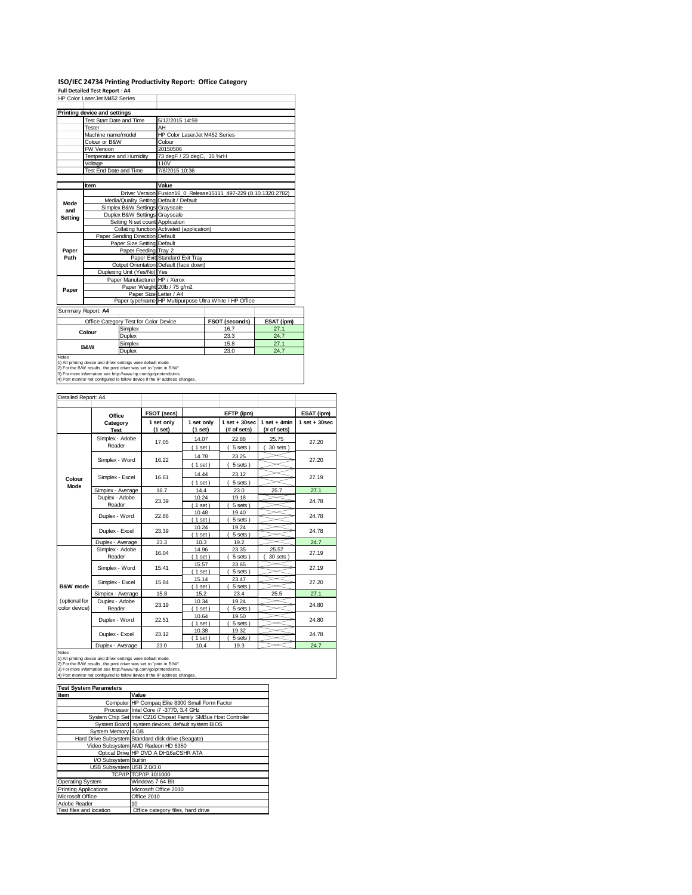# **ISO/IEC 24734 Printing Productivity Report: Office Category Full Detailed Test Report ‐ A4** HP Color LaserJet M452 Series

|                    | Printing device and settings            |                                                                 |
|--------------------|-----------------------------------------|-----------------------------------------------------------------|
|                    | Test Start Date and Time                | 5/12/2015 14:59                                                 |
|                    | Tester                                  | AH                                                              |
|                    | Machine name/model                      | HP Color LaserJet M452 Series                                   |
|                    | Colour or B&W                           | Colour                                                          |
|                    | FW Version                              | 20150506                                                        |
|                    | Temperature and Humidity                | 73 degF / 23 degC, 35 %rH                                       |
|                    | Voltage                                 | 110V                                                            |
|                    | Test End Date and Time                  | 7/8/2015 10:36                                                  |
|                    |                                         |                                                                 |
|                    | Item                                    | Value                                                           |
|                    |                                         | Driver Version Fusion16 0 Release15111 497-229 (8.10.1320.2782) |
| Mode               | Media/Quality Setting Default / Default |                                                                 |
| and                | Simplex B&W Settings Grayscale          |                                                                 |
| Setting            | Duplex B&W Settings Grayscale           |                                                                 |
|                    | Setting N set count Application         |                                                                 |
|                    |                                         | Collating function Activated (application)                      |
|                    | Paper Sending Direction Default         |                                                                 |
|                    | Paper Size Setting Default              |                                                                 |
| Paper              | Paper Feeding Tray 2                    |                                                                 |
| Path               |                                         | Paper Exit Standard Exit Tray                                   |
|                    |                                         | Output Orientation Default (face down)                          |
|                    | Duplexing Unit (Yes/No) Yes             |                                                                 |
|                    | Paper Manufacturer HP / Xerox           |                                                                 |
| Paper              |                                         | Paper Weight 20lb / 75 g/m2                                     |
|                    | Paper Size Letter / A4                  |                                                                 |
|                    |                                         | Paper type/name HP Multipurpose Ultra White / HP Office         |
| Summany Poport: AA |                                         |                                                                 |

Summary Report: **A4**

|                                                                            | Office Category Test for Color Device | <b>FSOT (seconds)</b> | ESAT (ipm) |  |  |
|----------------------------------------------------------------------------|---------------------------------------|-----------------------|------------|--|--|
| Colour                                                                     | Simplex                               | 16.7                  | 27.1       |  |  |
|                                                                            | Duplex                                | 23.3                  | 24.7       |  |  |
| <b>B&amp;W</b>                                                             | Simplex                               | 15.8                  | 27.1       |  |  |
|                                                                            | Duplex                                | 23.0                  | 24.7       |  |  |
| <b>Notes</b>                                                               |                                       |                       |            |  |  |
| 1) All printing device and driver settings were default mode.              |                                       |                       |            |  |  |
| 2) For the B/W results, the print driver was set to "print in B/W".        |                                       |                       |            |  |  |
| [3] For more information see http://www.hp.com/go/printerclaims.           |                                       |                       |            |  |  |
| 4) Port monitor not configured to follow device if the IP address changes. |                                       |                       |            |  |  |

| Detailed Report: A4 |                   |                       |                       |                                  |                               |                   |  |
|---------------------|-------------------|-----------------------|-----------------------|----------------------------------|-------------------------------|-------------------|--|
|                     |                   |                       |                       |                                  |                               |                   |  |
|                     | Office            | FSOT (secs)           |                       | EFTP (ipm)                       |                               | ESAT (ipm)        |  |
|                     | Category          | 1 set only<br>(1 set) | 1 set only<br>(1 set) | $1$ set $+30$ sec<br>(# of sets) | $1$ set + 4min<br>(# of sets) | $1$ set $+30$ sec |  |
|                     | <b>Test</b>       |                       |                       |                                  |                               |                   |  |
|                     | Simplex - Adobe   | 17.05                 | 14.07                 | 22.88                            | 25.75                         | 27.20             |  |
|                     | Reader            |                       | $1$ set)              | 5 sets)                          | $30$ sets $)$                 |                   |  |
|                     | Simplex - Word    | 16.22                 | 14.78                 | 23.25                            |                               | 27.20             |  |
|                     |                   |                       | (1 set)               | 5 sets)                          |                               |                   |  |
|                     | Simplex - Excel   | 16.61                 | 14.44                 | 23.12                            |                               | 27.19             |  |
| Colour<br>Mode      |                   |                       | $1$ set)              | 5 sets)                          |                               |                   |  |
|                     | Simplex - Average | 16.7                  | 14.4                  | 23.0                             | 25.7                          | 27.1              |  |
|                     | Duplex - Adobe    |                       | 10.24                 | 19.18                            |                               | 24.78             |  |
|                     | Reader            | 23.39                 | $1$ set)              | 5 sets                           |                               |                   |  |
|                     | Duplex - Word     | 22.86                 | 10.48                 | 19.40                            |                               | 24.78             |  |
|                     |                   |                       |                       | 5 sets)                          |                               |                   |  |
|                     | Duplex - Excel    | 23.39                 | 10.24                 | 19.24                            |                               | 24.78             |  |
|                     |                   |                       | $1$ set)              | 5 sets)                          |                               |                   |  |
|                     | Duplex - Average  | 23.3                  | 10.3                  | 19.2                             |                               | 24.7              |  |
|                     | Simplex - Adobe   | 16.04                 | 14.96                 | 23.35                            | 25.57                         | 27.19             |  |
|                     | Reader            |                       | $1$ set)              | 5 sets                           | 30 sets                       |                   |  |
|                     | Simplex - Word    | 15.41                 | 15.57                 | 23.65                            |                               | 27.19             |  |
|                     |                   |                       | $1$ set)              | 5 sets                           |                               |                   |  |
|                     | Simplex - Excel   | 15.84                 | 15.14                 | 23.47                            |                               | 27.20             |  |
| B&W mode            |                   |                       | $1$ set)              | 5 sets)                          |                               |                   |  |
|                     | Simplex - Average | 15.8                  | 15.2                  | 23.4                             | 25.5                          | 27.1              |  |
| (optional for       | Duplex - Adobe    | 23.19                 | 10.34                 | 19.24                            |                               | 24.80             |  |
| color device)       | Reader            |                       | (1 set)               | 5 sets)                          |                               |                   |  |
|                     | Duplex - Word     | 22.51                 | 10.64                 | 19.50                            |                               | 24.80             |  |
|                     |                   |                       | $1$ set)<br>10.38     | 5 sets)<br>19.32                 |                               |                   |  |
|                     | Duplex - Excel    | 23.12                 | $1$ set)              | 5 sets)                          |                               | 24.78             |  |
|                     | Duplex - Average  | 23.0                  | 10.4                  | 19.3                             |                               | 24.7              |  |
|                     |                   |                       |                       |                                  |                               |                   |  |

Notes<br>1) All printing device and driver settings were default mode.<br>2) For the B/W results, the print driver was set to "print in B/W".<br>3) For more information see http://www.hp.com/go/printerclaims.<br>4) Port monitor not co

| <b>Test System Parameters</b> |                                                                 |
|-------------------------------|-----------------------------------------------------------------|
| Item                          | Value                                                           |
|                               | Computer HP Compag Elite 8300 Small Form Factor                 |
|                               | Processor Intel Core i7 -3770, 3.4 GHz                          |
|                               | System Chip Set Intel C216 Chipset Family SMBus Host Controller |
|                               | System Board system devices, default system BIOS                |
| System Memory 4 GB            |                                                                 |
|                               | Hard Drive Subsystem Standard disk drive (Seagate)              |
|                               | Video Subsystem AMD Radeon HD 6350                              |
|                               | Optical Drive HP DVD A DH16aCSHR ATA                            |
| I/O Subsystem Builtin         |                                                                 |
| USB Subsystem USB 2.0/3.0     |                                                                 |
|                               | TCP/IP TCP/IP 10/1000                                           |
| Operating System              | Windows 7 64 Bit                                                |
| <b>Printing Applications</b>  | Microsoft Office 2010                                           |
| Microsoft Office              | Office 2010                                                     |
| Adobe Reader                  | 10                                                              |
| Test files and location       | Office category files, hard drive                               |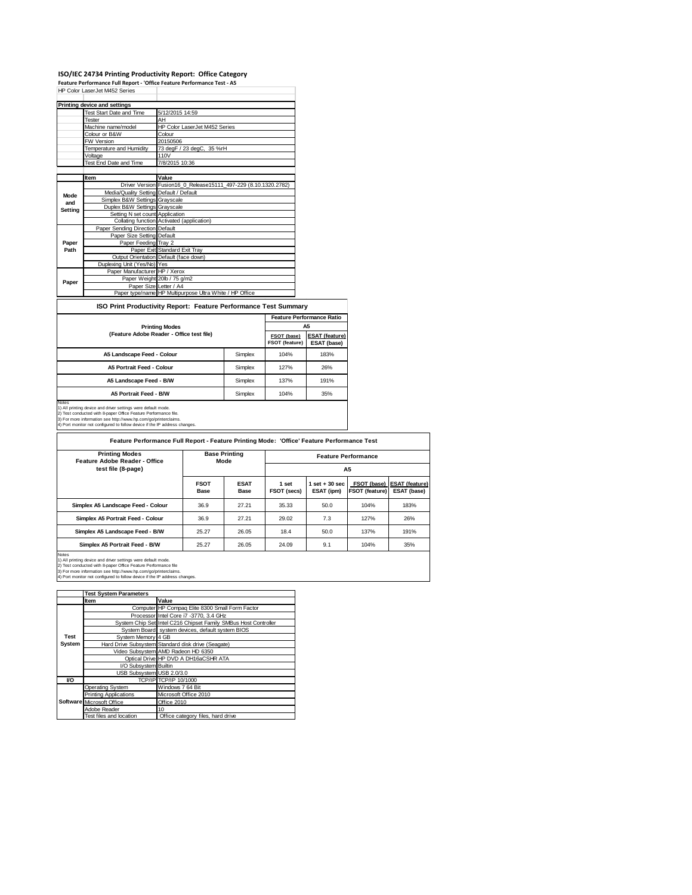## **ISO/IEC 24734 Printing Productivity Report: Office Category**

**Feature Performance Full Report ‐ 'Office Feature Performance Test ‐ A5**

|         | Printing device and settings            |                                                                 |
|---------|-----------------------------------------|-----------------------------------------------------------------|
|         | Test Start Date and Time                | 5/12/2015 14:59                                                 |
|         | Tester                                  | AH                                                              |
|         | Machine name/model                      | HP Color LaserJet M452 Series                                   |
|         | Colour or B&W                           | Colour                                                          |
|         | FW Version                              | 20150506                                                        |
|         | Temperature and Humidity                | 73 degF / 23 degC, 35 %rH                                       |
|         | Voltage                                 | 110V                                                            |
|         | Test End Date and Time                  | 7/8/2015 10:36                                                  |
|         |                                         |                                                                 |
|         | Item                                    | Value                                                           |
|         |                                         | Driver Version Fusion16_0_Release15111_497-229 (8.10.1320.2782) |
| Mode    | Media/Quality Setting Default / Default |                                                                 |
| and     | Simplex B&W Settings Grayscale          |                                                                 |
| Setting | Duplex B&W Settings Grayscale           |                                                                 |
|         | Setting N set count Application         |                                                                 |
|         |                                         | Collating function Activated (application)                      |
|         | Paper Sending Direction Default         |                                                                 |
|         | Paper Size Setting Default              |                                                                 |
| Paper   | Paper Feeding Tray 2                    |                                                                 |
| Path    |                                         | Paper Exit Standard Exit Tray                                   |
|         |                                         | Output Orientation Default (face down)                          |
|         | Duplexing Unit (Yes/No) Yes             |                                                                 |
|         | Paper Manufacturer HP / Xerox           |                                                                 |
| Paper   |                                         | Paper Weight 20lb / 75 g/m2                                     |
|         | Paper Size Letter / A4                  |                                                                 |
|         |                                         | Paper type/name HP Multipurpose Ultra White / HP Office         |

#### **ISO Print Productivity Report: Feature Performance Test Summary**

|                                                                        |         | <b>Feature Performance Ratio</b> |                                      |  |
|------------------------------------------------------------------------|---------|----------------------------------|--------------------------------------|--|
| <b>Printing Modes</b>                                                  |         | A5                               |                                      |  |
| (Feature Adobe Reader - Office test file)                              |         | FSOT (base)<br>FSOT (feature)    | <b>ESAT (feature)</b><br>ESAT (base) |  |
| A5 Landscape Feed - Colour                                             | Simplex | 104%                             | 183%                                 |  |
| A5 Portrait Feed - Colour                                              | Simplex | 127%                             | 26%                                  |  |
| A5 Landscape Feed - B/W                                                | Simplex | 137%                             | 191%                                 |  |
| A5 Portrait Feed - B/W                                                 | Simplex | 104%                             | 35%                                  |  |
| Notes<br>1) All printing device and driver settings were default mode. |         |                                  |                                      |  |

1) All printing device and driver settings were default mode.<br>2) Test conducted with 8-paper Office Feature Performance file.<br>3) For more information see http://www.hp.com/go/printerclaims.<br>4) Port monitor not configured t

**Feature Performance Full Report - Feature Printing Mode: 'Office' Feature Performance Test**

| <b>Printing Modes</b><br>Feature Adobe Reader - Office | <b>Base Printing</b><br>Mode |                     | <b>Feature Performance</b> |                              |                                      |                                      |
|--------------------------------------------------------|------------------------------|---------------------|----------------------------|------------------------------|--------------------------------------|--------------------------------------|
| test file (8-page)                                     |                              |                     | A5                         |                              |                                      |                                      |
|                                                        | <b>FSOT</b><br>Base          | <b>ESAT</b><br>Base | 1 set<br>FSOT (secs)       | $set + 30$ sec<br>ESAT (ipm) | FSOT (base)<br><b>FSOT (feature)</b> | <b>ESAT (feature)</b><br>ESAT (base) |
| Simplex A5 Landscape Feed - Colour                     | 36.9                         | 27.21               | 35.33                      | 50.0                         | 104%                                 | 183%                                 |
| Simplex A5 Portrait Feed - Colour                      | 36.9                         | 27.21               | 29.02                      | 7.3                          | 127%                                 | 26%                                  |
| Simplex A5 Landscape Feed - B/W                        | 25.27                        | 26.05               | 18.4                       | 50.0                         | 137%                                 | 191%                                 |
| Simplex A5 Portrait Feed - B/W                         | 25.27                        | 26.05               | 24.09                      | 9.1                          | 104%                                 | 35%                                  |
| Motor                                                  |                              |                     |                            |                              |                                      |                                      |

Notes<br>1) All printing device and driver settings were default mode.<br>2) Test conducted with 8-paper Office Feature Performance file<br>3) For more information see http://www.hp.com/go/printerclaims.<br>4) Port monitor not configu

|             | <b>Test System Parameters</b> |                                                                 |
|-------------|-------------------------------|-----------------------------------------------------------------|
|             | <b>Item</b>                   | Value                                                           |
|             |                               | Computer HP Compaq Elite 8300 Small Form Factor                 |
|             |                               | Processor Intel Core i7 -3770, 3.4 GHz                          |
|             |                               | System Chip Set Intel C216 Chipset Family SMBus Host Controller |
|             |                               | System Board system devices, default system BIOS                |
| <b>Test</b> | System Memory 4 GB            |                                                                 |
| System      |                               | Hard Drive Subsystem Standard disk drive (Seagate)              |
|             |                               | Video Subsystem AMD Radeon HD 6350                              |
|             |                               | Optical Drive HP DVD A DH16aCSHR ATA                            |
|             | I/O Subsystem Builtin         |                                                                 |
|             | USB Subsystem USB 2.0/3.0     |                                                                 |
| VO          |                               | TCP/IP TCP/IP 10/1000                                           |
|             | Operating System              | Windows 7 64 Bit                                                |
|             | <b>Printing Applications</b>  | Microsoft Office 2010                                           |
|             | Software Microsoft Office     | Office 2010                                                     |
|             | Adobe Reader                  | 10                                                              |
|             | Test files and location       | Office category files, hard drive                               |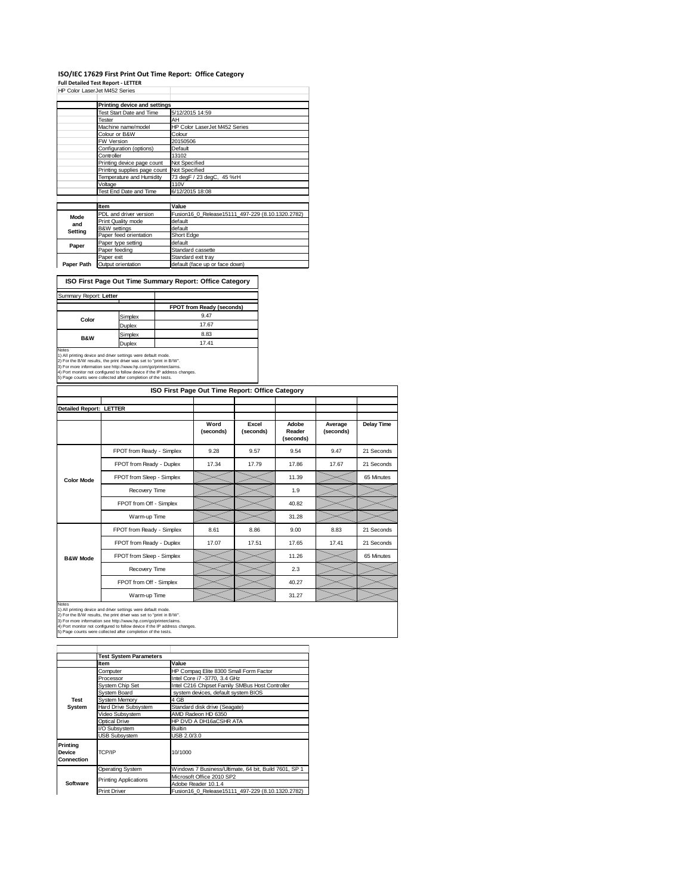#### **ISO/IEC 17629 First Print Out Time Report: Office Category**

**Full Detailed Test Report ‐ LETTER** HP Color LaserJet M452 Series

|            | HP Color LaserJet M452 Series |                                                  |
|------------|-------------------------------|--------------------------------------------------|
|            | Printing device and settings  |                                                  |
|            | Test Start Date and Time      | 5/12/2015 14:59                                  |
|            | Tester                        | AH                                               |
|            | Machine name/model            | HP Color LaserJet M452 Series                    |
|            | Colour or B&W                 | Colour                                           |
|            | <b>FW Version</b>             | 20150506                                         |
|            | Configuration (options)       | Default                                          |
|            | Controller                    | 13102                                            |
|            | Printing device page count    | Not Specified                                    |
|            | Printing supplies page count  | Not Specified                                    |
|            | Temperature and Humidity      | 73 degF / 23 degC, 45 %rH                        |
|            | Voltage                       | 110V                                             |
|            | Test End Date and Time        | 6/12/2015 18:08                                  |
|            |                               |                                                  |
|            | Item                          | Value                                            |
| Mode       | PDL and driver version        | Fusion16 0 Release15111 497-229 (8.10.1320.2782) |
| and        | Print Quality mode            | default                                          |
|            | <b>B&amp;W</b> settings       | default                                          |
| Setting    | Paper feed orientation        | Short Edge                                       |
| Paper      | Paper type setting            | default                                          |
|            | Paper feeding                 | Standard cassette                                |
|            | Paper exit                    | Standard exit tray                               |
| Paper Path | Output orientation            | default (face up or face down)                   |

**ISO First Page Out Time Summary Report: Office Category**

| Summary Report: Letter                                                                                                                                                                                                                                                                                |         |                           |
|-------------------------------------------------------------------------------------------------------------------------------------------------------------------------------------------------------------------------------------------------------------------------------------------------------|---------|---------------------------|
|                                                                                                                                                                                                                                                                                                       |         | FPOT from Ready (seconds) |
| Color                                                                                                                                                                                                                                                                                                 | Simplex | 9.47                      |
|                                                                                                                                                                                                                                                                                                       | Duplex  | 17.67                     |
| <b>B&amp;W</b>                                                                                                                                                                                                                                                                                        | Simplex | 8.83                      |
|                                                                                                                                                                                                                                                                                                       | Duplex  | 17.41                     |
| <b>Notes</b><br>1) All printing device and driver settings were default mode.<br>2) For the B/W results, the print driver was set to "print in B/W".<br>3) For more information see http://www.hp.com/go/printerclaims.<br>4) Port monitor not configured to follow device if the IP address changes. |         |                           |
| 5) Page counts were collected after completion of the tests.                                                                                                                                                                                                                                          |         |                           |

| ISO First Page Out Time Report: Office Category                                                                                                                                                                                                                                                                                                                       |                           |                   |                    |                              |                      |                   |
|-----------------------------------------------------------------------------------------------------------------------------------------------------------------------------------------------------------------------------------------------------------------------------------------------------------------------------------------------------------------------|---------------------------|-------------------|--------------------|------------------------------|----------------------|-------------------|
| <b>Detailed Report: LETTER</b>                                                                                                                                                                                                                                                                                                                                        |                           |                   |                    |                              |                      |                   |
|                                                                                                                                                                                                                                                                                                                                                                       |                           | Word<br>(seconds) | Excel<br>(seconds) | Adobe<br>Reader<br>(seconds) | Average<br>(seconds) | <b>Delay Time</b> |
|                                                                                                                                                                                                                                                                                                                                                                       | FPOT from Ready - Simplex | 9.28              | 9.57               | 9.54                         | 9.47                 | 21 Seconds        |
|                                                                                                                                                                                                                                                                                                                                                                       | FPOT from Ready - Duplex  | 17.34             | 17.79              | 17.86                        | 17.67                | 21 Seconds        |
| <b>Color Mode</b>                                                                                                                                                                                                                                                                                                                                                     | FPOT from Sleep - Simplex |                   |                    | 11.39                        |                      | 65 Minutes        |
|                                                                                                                                                                                                                                                                                                                                                                       | Recovery Time             |                   |                    | 1.9                          |                      |                   |
|                                                                                                                                                                                                                                                                                                                                                                       | FPOT from Off - Simplex   |                   |                    | 40.82                        |                      |                   |
|                                                                                                                                                                                                                                                                                                                                                                       | Warm-up Time              |                   |                    | 31.28                        |                      |                   |
| <b>B&amp;W Mode</b>                                                                                                                                                                                                                                                                                                                                                   | FPOT from Ready - Simplex | 8.61              | 8.86               | 9.00                         | 8.83                 | 21 Seconds        |
|                                                                                                                                                                                                                                                                                                                                                                       | FPOT from Ready - Duplex  | 17.07             | 17.51              | 17.65                        | 17.41                | 21 Seconds        |
|                                                                                                                                                                                                                                                                                                                                                                       | FPOT from Sleep - Simplex |                   |                    | 11.26                        |                      | 65 Minutes        |
|                                                                                                                                                                                                                                                                                                                                                                       | Recovery Time             |                   |                    | 2.3                          |                      |                   |
|                                                                                                                                                                                                                                                                                                                                                                       | FPOT from Off - Simplex   |                   |                    | 40.27                        |                      |                   |
|                                                                                                                                                                                                                                                                                                                                                                       | Warm-up Time              |                   |                    | 31.27                        |                      |                   |
| <b>Notes</b><br>1) All printing device and driver settings were default mode.<br>2) For the B/W results, the print driver was set to "print in B/W".<br>3) For more information see http://www.hp.com/go/printerclaims.<br>4) Port monitor not configured to follow device if the IP address changes.<br>5) Page counts were collected after completion of the tests. |                           |                   |                    |                              |                      |                   |

|                                  | <b>Test System Parameters</b> |                                                       |  |
|----------------------------------|-------------------------------|-------------------------------------------------------|--|
|                                  | Item                          | Value                                                 |  |
|                                  | Computer                      | HP Compag Elite 8300 Small Form Factor                |  |
|                                  | Processor                     | Intel Core i7 -3770, 3.4 GHz                          |  |
|                                  | System Chip Set               | Intel C216 Chipset Family SMBus Host Controller       |  |
|                                  | System Board                  | system devices, default system BIOS                   |  |
| <b>Test</b>                      | System Memory                 | 4 GB                                                  |  |
| System                           | Hard Drive Subsystem          | Standard disk drive (Seagate)                         |  |
|                                  | Video Subsystem               | AMD Radeon HD 6350                                    |  |
|                                  | Optical Drive                 | HP DVD A DH16aCSHR ATA                                |  |
|                                  | I/O Subsystem                 | <b>Builtin</b>                                        |  |
|                                  | <b>USB Subsystem</b>          | USB 2.0/3.0                                           |  |
| Printina<br>Device<br>Connection | TCP/IP                        | 10/1000                                               |  |
|                                  | Operating System              | Windows 7 Business/Ultimate, 64 bit, Build 7601, SP 1 |  |
| Software                         | <b>Printing Applications</b>  | Microsoft Office 2010 SP2                             |  |
|                                  |                               | Adobe Reader 10.1.4                                   |  |
|                                  | <b>Print Driver</b>           | Fusion16 0 Release15111 497-229 (8.10.1320.2782)      |  |